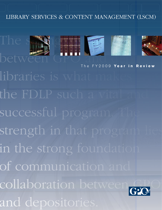# Library Services & Content Management (LSCM)



# The FY2009 **Year in Review**

libraries is what the FDLP such a successful program. strength in that program in the strong foundation of communication and collaboration between GP and depositories.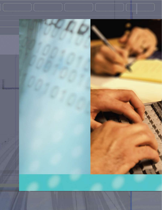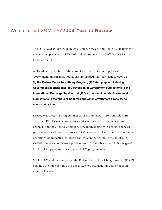# Welcome to LSCM's FY2009 **Year in Review**

The LSCM Year in Review highlights Library Services and Content Management's major accomplishments of FY2009 and will serve to map LSCM's work for the future of the FDLP.

As LSCM is responsible for the current and future access to published U.S. Government information, operations are divided into four main categories: **(1) the Federal Depository Library Program; (2) Cataloging and Indexing Government publications; (3) Distribution of Government publications to the International Exchange Service;** and **(4) Distribution of certain Government publications to Members of Congress and other Government agencies, as mandated by law**.

FY2009 was a year of progress in each of LSCM's areas of responsibility. An evolving FDLP Desktop now makes available improved communications channels and tools for collaboration; new partnerships with Federal agencies provide enhanced public access to U.S. Government information; and important collections of authenticated digital content continue to be released. Also in FY2009, Omnibus funds were provided to LSCM and have been fully obligated for 2010 for upgrading services in all LSCM program areas.

While LSCM and our partners in the Federal Depository Library Program (FDLP) continue the transition into the digital age, we maintain our goal of keeping America informed.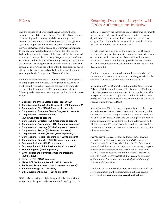### FDsys

The first release of GPO's Federal Digital System (FDsys) launched as a public beta on January 15, 2009. FDsys enhances the searching and browsing capabilities currently found on *GPO Access*. FDsys is a world-class information management system developed to authenticate, preserve, version, and provide permanent public access to Government information. In coordination with the launch of FDsys, the Office of the Federal Register, which is part of the National Archives, created a new publication, called the *Daily Compilation of Presidential Documents* and made it available through FDsys. In response to the President's challenge to create a more open and transparent Government, GPO and the Office of the Federal Register began offering bulk data downloads of Federal Register files to the general public via Data.gov and FDsys in October.

All of the information available on *GPO Access* is in the process of being migrated into FDsys. The migration is occurring on a collection-by-collection basis and the goal is to complete the migration by the end of 2009. At the time of printing, the following collections have been migrated and made available on FDsys:

- Budget of the United States (Fiscal Year 2010)\*
- Compilation of Presidential Documents (1993 to present)\*
- Congressional Bills (103rd Congress to present)\*
- Congressional Calendars (104th Congress to present)
- Congressional Committee Prints (105th Congress to present)
- Congressional Directory (105th Congress to present)\*
- Congressional Documents (104th Congress to present)
- Congressional Hearings (105th Congress to present)
- Congressional Record (Daily) (1994 to present)
- Congressional Record (Bound) (1999 to present)\*
- Congressional Record Index (Daily) (1983 to present)
- Congressional Reports (104th Congress to present)
- Economic Indicators (1995 to present)
- Economic Report of the President (1995 to present)
- Federal Register (1994 to present)\*
- GAO Reports and Comptroller General Decisions (1994 to 2008)
- $\blacksquare$  History of Bills (1983 to present)
- List of CFR Sections Affected (1997 to present)\*
- $\blacksquare$  Public and Private Laws (104th Congress to present)\*
- Statutes at Large (2003 to 2006)\*
- U.S. Government Manual (1995 to present)\*

GPO is also working to digitally sign all collections within FDsys. Digitally signed collections are indicated by \* above.

### Ensuring Document Integrity with GPO's Authentication Initiative

In the 21st century, the increasing use of electronic documents poses special challenges in verifying authenticity, because digital technology makes such documents easy to alter or copy, leading to multiple, non-identical versions that can be used in unauthorized or illegitimate ways.

To help meet the challenge of the digital age, GPO began implementing digital signatures to certain electronic documents on *GPO Access* that not only establish GPO as the trusted information disseminator, but also provide the reassurance that an electronic document has not been altered since GPO disseminated it.

Continued implementation led to the release of additional authenticated content in FY2009 and laid the groundwork for still more content to be authenticated in early 2010.

In January 2009, GPO launched authenticated Congressional Bills on *GPO Access*. All versions of bills from the 110th and 111th Congresses were authenticated in this application. This is expected to be the last application authenticated on *GPO Access*, as future authenticated content will be released on the Federal Digital System (FDsys).

Also in January 2009, the first group of migrated collections was released on FDsys. Two collections in this group, Public and Private Laws and Congressional Bills, were authenticated for all years available. In May 2009, the Budget of the United States Government was authenticated and released on both GPO Access and FDsys, so that all collections that have been authenticated on GPO Access are authenticated on FDsys for all years available.

FY2009 saw the release of four additional authenticated collections on FDsys only: *Congressional Directory*, the *Congressional Record* (bound edition), the *US Government Manual*, and the *Statutes at Large*. Preparations are complete to authenticate four collections already on FDsys in early FY2010. These collections will be the *Federal Register*, the *List of CFR Sections Affected* (LSA), the *Weekly Compilation of Presidential Documents*, and the *Daily Compilation of Presidential Documents*.

The future will see more collections authenticated on FDsys. More information on the authentication initiative can be accessed at **www.gpoaccess.gov/authentication/**.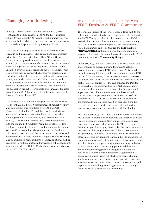# Cataloging And Indexing

In FY09, Library Technical Information Services (LTIS) continued to deploy enhancements to the ILS (Integrated Library System), Aleph 500, with the goal to improve services to the public in addition to providing services to participants in the Federal Depository Library Program (FDLP).

The focus of ILS project activities in FY09 were database clean-up and maintenance. LTIS entered into an agreement with Library Technologies, Inc. (LTI) in Willow Grove, Pennsylvania to provide authority control services for the *Catalog of U.S. Government Publications* (CGP). LTI evaluated every bibliographic record (over 500,000) in the CGP and identified errors in name, series and subject headings. Their errors were then corrected which improved searching and indexing functionality. In order to continue this maintenance activity for newly created records, GPO contracted with LTI to provide authority control services for the CGP on a monthly subscription basis. In addition, LTIS undertook a de-duplication project to consolidate and eliminate duplicate records in the CGP that resulted from the initial data load from Monthly Catalog files in 2006.

The metadata transcription of the pre-1976 historic shelflist cards continued in FY09. A reassessment of project workflow and deliverables was completed by LSCM and PTFS Progressive Technology Federal Systems, Inc.) which was contracted in FY08 to assist with the project, was tasked with digitization of approximately 300,000 shelflist cards in FY09. Metadata transcription tasks were incorporated into the routine LTIS workflow. With the assistance of two graduate students in Library Science hired during the summer, over 6,000 monograph cards were transcribed. Cataloging Librarians in LTIS provided the quality control and enhanced the records with a valid Library of Congress Subject Headings and an authorized name authority heading. Additional staffing resources to continue metadata transcription will continue with funding provided by H.R. 1105, the Omnibus Appropriations Act for FY 2009 (P. L. 111-8).

### Revolutionizing the FDLP on the Web: FDLP Desktop & FDLP Community

The ongoing success of the FDLP is due, in large part, to the collaborative relationship between Federal depository libraries and LSCM. Taking the idea of collaboration further, LSCM extends this concept online to libraries and partners through Web sites that are designed to provide not only Programrelated information and tools through the FDLP Desktop **http://www.fdlp.gov**, but also networking applications to improve collaboration between depositories through the FDLP Community site **http://community.fdlp.gov**.

In January, 2009, the FDLP Desktop was released out of beta and continues to evolve; allowing librarians to reference information and complete FDLP-related tasks. This includes the ability to stay informed on the latest news about the FDLP, register for FDLP events, order promotional items, download documents, and utilize tools to optimize their library's selection profile. LSCM continues to refine and enhance the Desktop by researching and implementing new Web dissemination methods, such as through the creation of a Desktop-based application that allows libraries to search, browse, and view updates to Superintendent of Documents classification numbers and to List of Classes information. Improvements are continually implemented based on feedback from the Depository Library Council, Federal depository libraries, partner institutions, and the evolution of Web technologies.

Also in January, 2009, LSCM released a beta library networking site in order to promote more real-time collaboration between Federal depository libraries. Networking technologies have experienced phenomenal growth and LSCM has recognized the advantages of leveraging these tools. The FDLP Community site was launched to give members of the FDL community an opportunity to connect, collaborate, and learn from each other in a secure environment. Through the site, members can express themselves and collaborate with colleagues by creating a profile; forming groups; writing and commenting on blogs; starting online discussions; sharing photos and documents; and sending/receiving private messages. By hosting the service on a Federal domain, members are guaranteed a secure environment that is not blocked by their institutions and is locked down in order to prevent unsolicited materials, advertisements, and other vulnerabilities. The site is constantly improved as networking technologies evolve and through feedback received from the FDL community.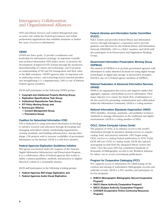### Interagency Collaboration and Organizational Alliances

GPO and Library Services and Content Management play an active role within the Federal government and within professional organizations that establish standards or further the cause of access to information:

#### **CENDI**

CENDI has three goals: 1) provide coordination and leadership for information exchange on important scientific and technical information (STI) policy issues; 2) promote the development of improved STI systems through the productive interrelationship of content and technology; and 3) promote an understanding of STI and STI management and their value to the R&D enterprise. CENDI agencies play an important role in addressing science- and technology-based national priorities and strengthening U.S. competitiveness. GPO is one of thirteen Federal agency members.

LSCM staff participates in the following CENDI groups:

- Copyright and Intellectual Property Working Group;
- Digitization Specifications Task Group;
- Institutional Repositories Task Group;
- STI Policy Working Group; and
- Science.gov Alliance:
	- Content Management Group
	- Promotions Group.

#### **Coalition for Networked Information (CNI)**

CNI is dedicated to using networked information technology to advance research and education through developing and managing networked content, transforming organizations, creating standards, and building infrastructures. Among other things, CNI projects seek to increase availability of government information on the Internet. LSCM is a task force member.

#### **Federal Agencies Digitization Guidelines Initiative**

This group was formed under the auspices of the National Digital Information Infrastructure and Preservation Program. It is a collaborative effort of Federal agencies that works to define common guidelines, methods, and practices to digitize historical content in a sustainable manner.

LSCM staff participates in the following working groups:

- Federal Agencies Still Image Digitization; and
- Federal Agencies Audio-Visual Digitization.

### **Federal Libraries and Information Center Committee (FLICC)**

FLICC fosters and provides federal library and information services through interagency cooperation and to provide guidance and direction for the Federal Library and Information Network (FEDLINK). GPO is a FLICC member, and LSCM staff also participate in its Preservation and Digitization Working Group.

### **Government Information Preservation Working Group (GIPWoG)**

The mission of GIPWoG is to provide government agencies with information to make informed decisions for using digital storage technologies in digital data storage or preservation strategies. LSLCM is one of 11 Federal agency members of GIPWoG.

### **National Federation of Advanced Information Services (NFAIS)**

NFAIS is an organization that serves and supports entities that aggregate, organize, and facilitate access to information. Their major objective is to ensure the timely flow of information to all who need it by promoting communication and collaboration within the Information Community. LSCM is a voting member.

#### **National Information Standards Organization (NISO)**

NISO identifies, develops, maintains, and publishes technical standards to manage information in the traditional and digital environments. LSCM is a voting member of NISO.

#### **OCLC, Online Computer Library Center**

The purpose of OCLC is to enhance access to the world's information through its members sharing services to acquire, catalog, lend, and preserve materials. GPO began using OCLC services to catalog Federal publications in 1976. Today LSCM still uses OCLC to catalog serials. LSCM also uploads monograph records from the integrated library system into OCLC. Over the years GPO has contributed hundreds of thousands of bibliographic records to the WorldCat database for others' use to access Government publications.

#### **Program for Cooperative Cataloging (PCC)**

PCC supports access to information by collaborating on the creation and sharing of authoritative bibliographic records and authority records. LSCM is a PCC member and participates in its four programs:

- BIBCO (Monographic Bibliographic Record Cooperative Program)
- NACO (Name Authority Cooperative Program)
- SACO (Subject Authority Cooperative Program)
- CONSER (Cooperative Online Continuing Resources Program)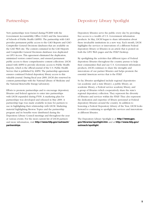# Partnerships

New partnerships were formed during FY2009 with the Government Accountability Office (GAO) and the Association of Schools of Public Health (ASPH). The partnership with GAO provides permanent public access to the GAO Reports and GAO Comptroller General Decisions databases that are available on the GAO Web site. The content contained in the GAO Reports and Comptroller General Decisions databases was duplicated on GPO Access. This agreement eliminated the duplication, minimized version control issues, and ensured permanent public access to these comprehensive content collections. LSCM joined with ASPH to provide electronic access to Public Health Reports, which is the official journal of the U.S. Public Health Service that is published by ASPH. The partnership agreement ensures continued Federal depository library access to this valuable journal. During fiscal year 2009, LSCM also renewed its content partnerships with the National Library of Medicine and the National Renewable Energy Laboratory.

Efforts to promote partnerships and to encourage depository libraries and federal agencies to enter into partnerships with LSCM expanded during FY09. A marketing plan for partnerships was developed and released in May 2009. A partnership logo was made available in June for partners to use in highlighting their relationship with LSCM. Marketing material highlighting Browse Topics and the partnership program and its benefits were distributed during the Depository Library Council meetings and throughout the year at various events. For the most current list of LSCM partners and more information, visit **http://www.fdlp.gov/outreach/ partnerships**.

# Depository Library Spotlight

Depository libraries serve the public every day by providing free access to a wealth of U.S. Government information products. In May, LSCM began to share information about these invaluable institutions in a new way. Each month, LSCM highlights the services or innovations of a different Federal depository library or libraries in an article that is posted on both the GPO Web pages and the FDLP Desktop.

By spotlighting the activities that different types of Federal depository libraries throughout the country pursue to help their communities find and use U.S. Government information products, LSCM continues to share the strengths and innovations of our partner libraries and helps promote the essential American service that is the FDLP.

So far, libraries spotlighted include regional depositories (an academic and a state library), a public library, an academic library, a Federal service academy library, and a group of libraries which cooperatively share the state's regional depository collection. They represent the diversity of libraries and services within the FDLP. They also represent the dedication and expertise of library personnel at Federal depository libraries around the country. In addition to honoring a Federal Depository Library of the Year, LSCM looks forward to continuing to spotlight the services and innovations at different libraries.

The Depository Library Spotlight is at **http://www.gpo. gov/libraries/spotlight.htm** and at **http://www.fdlp.gov/ outreach/spotlight**.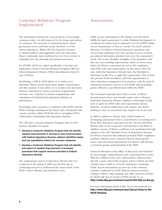### Customer Relations Program Implemented

The performance framework of government is increasingly customer-centric, yet still outpaced by the rising expectations of customers. The necessity to understand those whom government serves and their needs, therefore, is of the utmost importance. While GPO has long had channels to obtain feedback and suggestions from the depository library community, these methods have not been cyclical or embedded into the planning and business processes.

For FY2009, LSCM was asked specifically to develop and implement a formal Customer Relations Program (CRP) for Federal depository libraries (FDLs) that delineates them by type of library.

Establishing a CRP in LSCM allows us to better serve depository library needs based upon unique characteristics and data analysis. It also allows us to monitor and document business operations to ensure provision of appropriate customer care, response to mission requirements, and solicitation of feedback from depository libraries on performance.

Developing such a program is consistent with LSCM's and the FDLP's strategic planning for the future and corresponds with current activities within LSCM that aim to strengthen GPO's collaborative relationship with depository libraries.

The CRP plan, Customer Relations Program: Plan for FDL Partners, identifies two goals:

- $\blacksquare$  Develop a Customer Relations Program that will identify needed improvements in services to and communication with Federal depository libraries, address identified needs, and use quantitative metrics for success measures
- $\blacksquare$  Develop a Customer Relations Program that will identify and report on needed improvements in business processes that support services provided to Federal depository libraries

The segmentation survey of depository libraries that was conducted in the spring of 2009 was the first step in conducting research to understand the varied needs of the FDLP's diverse libraries and depository users.

### Assessments

Public Access Assessments is the primary way that LSCM fulfills the legal requirement "to make firsthand investigation of conditions for which need is indicated" (44 USC §1909). Public Access Assessments, or PAA, is a review by LSCM outreach librarians of a library's Federal depository operations and services that emphasize how they provide access to Federal government information products and serve the community's needs. The review identifies strengths of the depository and also any areas needing improvement, which are those areas where the library's operations are not in full compliance with FDLP rules and requirements. As has always been the case, individual depository libraries have the flexibility to determine locally how to apply the requirements. PAA reviews also provide LSCM and library staff with opportunities to share depository management best practices, with the goal of enhancing depository services to the public and promoting greater efficiency and effectiveness within the FDLP.

The assessment typically starts with a review of library documentation, but it may include onsite visits to libraries. Individual depository libraries continue to determine locally how to apply the FDLP rules and requirements and are, therefore, reviewed within their own context. Any library wishing to have an assessment may request one at any time.

In 2009 in addition to library visits, LSCM worked on developing educational tools to assist libraries in learning more about their depository operation and the role the individual libraries play in the cooperative network that is the FDLP. In addition, reviews of library conditions were performed through analysis of the 2007 Biennial Survey of Depository Libraries. For library responses that indicated potential FDLP compliance problems, libraries were contacted directly about specific issues, and educational information was shared with libraries to promote greater understanding of the FDLP.

Outreach Librarians in the Office of Education and Outreach are increasingly visiting libraries and conducting PAA reviews. With the addition of two new staff members expected later this fall, a more robust PAA program will be evident and their activities more visible to all in the depository community. Public Access Assessments are just one of the outreach activities conducted by LSCM. Related outreach activities relating to library visits, training, and other outreach activities by LSCM staff may be found at FDLP On the Go at **http://www.fdlp.gov/outreach/events/450-fdlp-on-the-go**.

For more information about Public Access Assessments, see **http://www.fdlp.gov/outreach/paa?layout=blog on the FDLP Desktop**.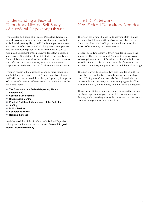# Understanding a Federal Depository Library: Self-Study of a Federal Depository Library

The updated Self-Study of a Federal Depository Library is a new depository management educational resource available to Federal depository library staff. Unlike the previous version that was part of LSCM's individual library assessment process, this one has been repurposed as an instrument for staff to use in self-assessment of their library's depository operation and services. Completion of the Self-Study is not mandatory. Rather, it is one of several tools available to provide assistance and information about the FDLP, for example, the New Depository Coordinators Tutorial for documents coordinators.

Through review of the questions in one or more modules in the Self-Study, it is expected that Federal depository library staff will better understand their library's depository in support of a more effective and efficient FDLP. The modules cover the following topics:

- The Basics (for new Federal depository library coordinators)
- Collection Development
- Bibliographic Control
- Physical Facilities & Maintenance of the Collection
- Staffing
- Public Services
- Cooperative Efforts
- Regional Services

Available modules of the Self-Study of a Federal Depository Library are on the FDLP Desktop at **http://www.fdlp.gov/ home/tutorials/selfstudy**.

# The FDLP Network: New Federal Depository Libraries

The FDLP has 2 new libraries in its network. Both libraries are law school libraries: Wiener-Rogers Law Library at the University of Nevada, Las Vegas, and the Elon University School of Law Library in Greensboro, NC.

Wiener-Rogers Law Library at UNLV, founded in 1998, is the largest law library in the state of Nevada. It provides access to basic primary sources of American law for all jurisdictions, as well as finding tools and other materials of interest to the academic community, the practicing bar, and the public at large.

The Elon University School of Law was founded in 2006. Its Law Library collection is particularly strong in Leadership titles, U.S. Supreme Court materials, State of North Carolina monographs and treatises, and other emerging fields of law such as Bioethics/Biotechnology and the Law of the Internet.

These two institutions join a network of libraries that engage in a broad spectrum of government information in many formats, while providing a valuable contribution to the FDLP's network of legal information specialists.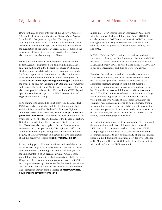### Digitization

LSCM continues to work with staff at the Library of Congress (LC) on the digitization of the *Bound Congressional Record*, from the 43rd Congress through the 105th Congress. LC is digitizing the material which will then be ingested and made available as part of the FDsys. This material is in addition to the digitization of the Statutes at Large. LC has completed the conversion of this material into preservation files, which will also be made available through the FDsys.

LSCM staff continued to work with other agencies on the Federal Agencies Digitization Guidelines Initiatives. LSCM is an active participant in the Federal Still Image Digitization Working Group, established to develop common standards for Federal agencies and institutions, and also continues to participate in the Federal Agencies Audio-Visual group. A website (**http://www.digitizationguidelines.gov/**) highlights the work done thus far, including a Digital Imaging Framework and Content Categories and Digitization Objectives. LSCM staff also participate in collaborative efforts with the CENDI Digital Specifications Task Group and the FLICC Preservation and Digitization Working Group.

GPO continues to expand its collaborative digitization effort. LSCM has updated and refreshed the digitization initiatives website. It is now entitled "Federal Publications Digitization and Public Access Files Initiatives, located at **http://www.fdlp. gov/home/about/453**. This website includes an update of the white paper, Priorities for Digitization of the Legacy Collection. Guidelines on additional file formats acceptable for ingest into FDsys have also been updated. In an effort to increase awareness and participation in LSCM's digitization efforts, a flyer has been developed highlighting partnerships and the Registry of U.S. Government Publication Projects. Information about the Registry is located at **http://registry.fdlp.gov**.

In the coming year, LSCM seeks to increase its collaboration in digitization projects by actively seeking partners who have digitized files that can be ingested into FDsys. This year saw the implementation of an agreement with NOAA's Coastal Zone Information Center to make its material available through FDsys once the system can ingest converted content. LSCM encourages interested parties to use the Partnership website to find out more about partnership possibilities and requirements. The Partnership inquiry form is located at **http://www.fdlp. gov/component/form/?form\_id=3**.

### Automated Metadata Extraction

In late 2007, GPO entered into an Interagency Agreement with the Defense Technical Information Center (DTIC) in collaboration with Old Dominion University (ODU) to create cataloging records using automated metadata extraction software tools and processes currently being used by DTIC and NASA.

In FY09, LSCM and ODU continued to evaluate and refine the automated tool using the EPA document collection, and ODU produced a sample batch of metadata records for review by LSCM. Additionally, LSCM delivered a 2nd batch of 1,000 FDLP in-scope Congressional PDF files to ODU for analysis.

Based on the evaluations and recommendations from the LSCM Evaluation team, the LSCM project team determined that the records produced for the EPA collection by the automated metadata extraction tool did not meet the minimum requirements and cataloging standards set forth by LSCM without major or full human modifications to the record. The EPA documents, selected at random from a large EPA web harvesting project LSCM conducted in early 2007, were published by a variety of EPA offices throughout the country. These documents proved to be problematic from a programming perspective because bibliographic information was often not presented in a standardized format or location on the document, making it hard for the ODU/DTIC tool to identify critical bibliographic metadata.

As part of the second phase of the agreement, ODU analyzed the congressional collection of documents and provided LSCM with a characterization and feasibility report. ODU is preparing a final report on the 2 year project, including recommendations as to cost and feasibility of implementation based on the 2 document collections provided by LSCM, due to LSCM in early October 2009. Results of the 2 year project will be shared with the FDLP community.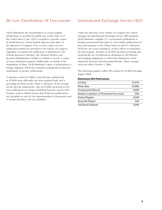# By-Law Distribution Of Documents

LSCM administers the dissemination of certain tangible publications as specified by public law. Under Title 44 of the United States Code, GPO is required to provide copies of publications to certain Federal agencies and others at the direction of Congress. Two or more copies of every publication printed are provided to the Library of Congress, regardless of whether the publication is distributed to the Federal depository libraries. The National Archives and Records Administration (NARA) is entitled to receive 3 copies of every publication printed. Additionally, on behalf of the Department of State, LSCM distributes copies of publications to foreign legations. LSCM also maintains mailing lists for By-Law distribution of specific publications.

A database created in 2008 to track By-Law publications in FY2009 more efficiently has been updated daily and is providing excellent results. There is adequate on-site storage for the By-Law publications. Also in FY2009, protocols for By-Law publications are being established between various GPO business units to further ensure that all By-Law publications are identified as such by the Superintendent of Documents and to ensure that their costs are identified.

### International Exchange Service (IES)

Under the direction of the Library of Congress (LC) which manages the International Exchange Service (IES) program, LSCM distributes tangible U.S. Government publications to foreign governments that agree to send similar publications of their governments to the United States for the LC collections. LSCM has also been assisting LC in their efforts to modernize the IES program. Activities in FY2009 included reviewing and updating the list of publications distributed to IES libraries and merging mailing lists to reflect the elimination of the distinction between full and partial libraries. These changes went into effect October 1, 2009.

The following statistics reflect IES activity for FY2009 (through August 2009).

#### **Distributed IES Publications**

| <b>Full Sets</b>                             | 74,970 |
|----------------------------------------------|--------|
| <b>Partial Sets</b>                          | 20,882 |
| Congressional Record                         | 5,825  |
| Weekly Compilation of Presidential Documents | 800    |
| Federal Register                             | 9.329  |
| Serial Set (Paper)                           | 540    |
| <b>Total Boxes Shipped</b>                   | 3.294  |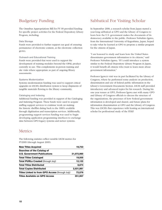# Budgetary Funding

The Omnibus Appropriations Bill for FY 09 provided funding for specific project activities for the Federal Depository Library Program, including:

#### Data Storage

Funds were provided to further support our goal of ensuring permanence of electronic content, as the electronic collection grows.

#### Outreach and Educational Training

Funds were provided that were used to support the development of training modules beyond the OPAL product currently in use. This complements in-person training and site visits where appropriate as part of ongoing library assessments.

#### Systems Modernization

Systems modernization funding was used to support critical upgrades in LSCM's distribution system to keep shipments of tangible materials flowing to the library community.

#### Cataloging and Indexing

Additional funding was provided in support of the Cataloging and Indexing Program. These funds were used to acquire staffing support services to continue work on making the historic shelflist dating back to the 1800's available through digitization and transcription services. Additionally, programming support services funding was used to begin developing application programming interfaces to exchange data between GPO legacy systems and newer systems.

### **Metrics**

The following statistics reflect notable LSCM metrics for FY2009 (through August 2009).

| <b>New Titles Acquired</b>                             | 19,723     |
|--------------------------------------------------------|------------|
| Searches of the Catalog of                             |            |
| <b>U.S. Government Publications</b>                    | 21,072,985 |
| <b>Total Titles Cataloged</b>                          | 19,505     |
| <b>Total PURLs Created (through July)</b>              | 12,132     |
| <b>Total Titles Distributed</b>                        | 8,674      |
| <b>Total Copies Distributed</b>                        | 2,031,981  |
| <b>Titles Linked to from GPO Access (through July)</b> | 72,576     |
| <b>Titles Available on GPO Access</b>                  | 251,957    |

# Sabbatical For Visiting Scholar

In September 2008, a research scholar from Japan started a year-long sabbatical at GPO and the Library of Congress to learn how the U.S. government makes the documents of its democracy available to the public. Professor Nobuhiro Igawa, from the International University of Kagoshima, Japan, hoped to take what he learned at GPO to propose a similar program for the citizens of Japan.

"I am honored to study and learn how the United States disseminates government information to its citizens," said Professor Nobuhiro Igawa. "If I could introduce a system similar to the Federal Depository Library Program in Japan, it would benefit all citizens who want to learn more about government information."

Professor Igawa's visit was in part facilitated by the Library of Congress, where he performed some analysis on production, dissemination and use of federal public information in the Library's Government Documents Section. LSCM staff provided introductory and advanced topics for his research. During his one year tenure at GPO, Professor Igawa met with many GPO and Library of Congress officials to discuss the structure of the organizations, the processes of how Federal government information is developed and shared, and future plans for information dissemination at GPO and the Library of Congress. This was LSCM's first experience with hosting an international scholar for professional study of the FDLP.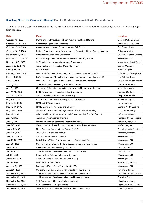### **Reaching Out to the Community through** Events, Conferences, and Booth Presentations

FY2009 was a busy year for outreach activities by LSCM staff to members of the depository community. Below are some highlights from the year:

| <b>Date</b>           | <b>Event</b>                                                                 | <b>Location</b>             |
|-----------------------|------------------------------------------------------------------------------|-----------------------------|
| October 7-8, 2008     | Partnerships in Innovations II: From Vision to Reality and Beyond            | College Park, Maryland      |
| October 14-15, 2008   | Seminar for Agencies and Libraries                                           | New Orleans, Louisiana      |
| October 17-19, 2008   | American Association of School Librarians Fall Forum                         | Oak Brook, Illinois         |
| October 20-22, 2008   | Federal Depository Library Conference and Depository Library Council Meeting | Arlington, Virginia         |
| November 5-8, 2008    | <b>Publishers and Librarians Conference</b>                                  | Charleston, South Carolina  |
| November 12-13, 2008  | Electronic Signatures and Records Association (ESRA) Annual                  | Washington, DC              |
| December 3-5, 2008    | W. Virginia Library Association Annual Conference                            | Morgantown, West Virginia   |
| January 23-28, 2009   | American Library Association (ALA) Mid-winter                                | Denver, Colorado            |
| Feruary 18, 2009      | Map Publishing                                                               | Reston, Virginia            |
| February 22-24, 2009  | National Federation of Abstracting and Information Services (NFAIS)          | Philadelphia, Pennsylvania  |
| March 11, 2009        | ILCEP Conference (the publishers of science/technical information in DOD)    | San Antonio, Texas          |
| April 1-3, 2009       | DigCCurr 2009: Digital Curation Practice, Promise and Prospects              | Chapel Hill, North Carolina |
| April 7, 2009         | 125th Anniversary - University of Michigan Library                           | Ann Arbor, Michigan         |
| April 8, 2009         | Centennial Celebration - Mansfield Library at the University of Montana      | Missoula, Montana           |
| April 17-19, 2009     | 2009 Partnership for Indian Education Conference                             | Norman, Oklahoma            |
| April 20-22, 2009     | Spring Depository Library Council Meeting                                    | Tampa Bay, Florida          |
| May 4-8, 2009         | Ex Libris Annual End User Meeting & ELUNA Meeting                            | Richmond, Virginia          |
| May 12-13, 2009       | NAMS/GPO Open House                                                          | Cincinnati, Ohio            |
| May 13-14, 2009       | NAMS Seminar for Agencies and Libraries                                      | Durham, North Carolina      |
| May 13-15, 2009       | Society of Government Meeting Planners (SGMP) Annual Meeting                 | Louisville, Kentucky        |
| May 29, 2009          | Wisconsin Library Association, Annual Government Info Day Conference         | LaCrosse, Wisconsin         |
| June 1, 2009          | Annual Virginia Depository Meeting                                           | Hampden Sydney, Virginia    |
| June 1,2009           | National Information Standards Organization (NISO)                           | Baltimore, Maryland         |
| June 2-3, 2009        | Visitation to Norfolk and Richmond to consult with library personnel         | Norfork, Virginia           |
| June 4-7, 2009        | North American Serials Interest Group (NASIG)                                | Asheville, North Carolina   |
| June 8-12, 2009       | Tribal College Librarians Institute                                          | Bozeman, Maryland           |
| June 14-17, 2009      | Special Library Association (SLA)                                            | Washington, DC              |
| June 22-23, 2009      | DHS Privacy Office - Privacy Workshops - Government 2.0:                     | Washington, DC              |
| June 25, 2009         | Student Interns visited the Federal depository operation and service         | Washington, DC              |
| July 9-15, 2009       | American Library Association (ALA) Annual                                    | Chicago, Illinois           |
| July 18, 2009         | 125th Anniversary Celebration - Houston Public Library                       | Houston, Texas              |
| July 25, 2009         | Future of Today's Legal Scholarship Symposium                                | Washington, DC              |
| July 25-28, 2009      | American Association of Law Libraries (AALL)                                 | Washington, DC              |
| July 30,2009          | GPO NAM's Open House                                                         | Kansas City, Missouri       |
| August 4-5, 2009      | Strategy for Public Policy Content on the Web                                | Washington, DC              |
| August 5, 2009        | University of Delaware Library visit to confer on ILS systems                | Newark, Delaware            |
| September 17, 2009    | 125th Anniversary of the University of South Carolina Library                | Columbia, South Carolina    |
| September 17, 2009    | 125th Anniversary Celebration - Denison University Libraries                 | Granville, Ohio             |
| September 17, 2009    | 70th Anniversary - Georgia Southern University                               | Statesboro, Georgia         |
| September 23-24, 2009 | GPO Seminar/NAM's Open House                                                 | Rapid City, South Dakota    |
| September 28, 2009    | 100th Anniversary Celebration - William Allen White Library                  | Emporia, Kansas             |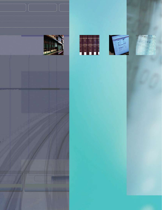





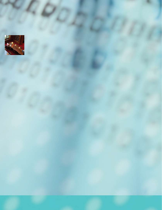